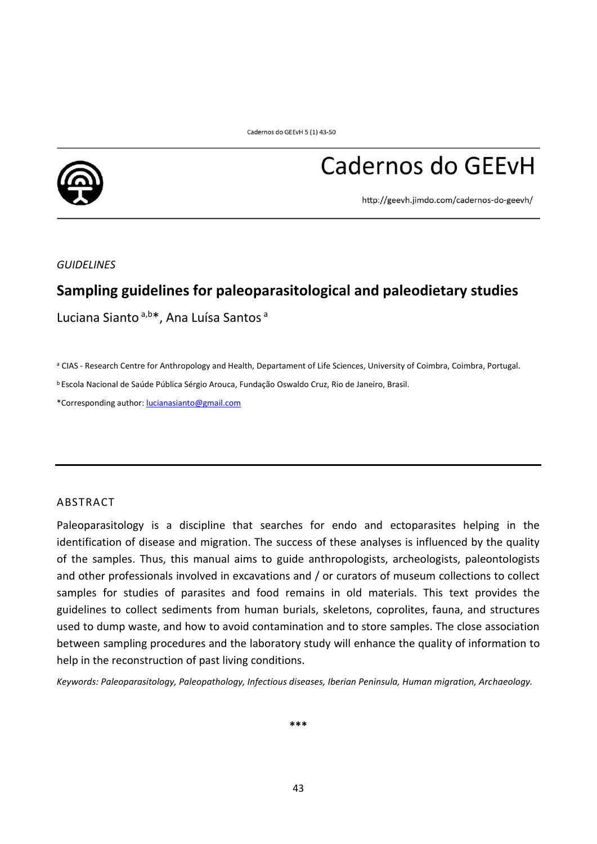

# Cadernos do GEEvH

http://geevh.jimdo.com/cadernos-do-geevh/

*GUIDELINES*

# **Sampling guidelines for paleoparasitological and paleodietary studies**

Luciana Sianto<sup>a,b\*</sup>, Ana Luísa Santos<sup>a</sup>

a CIAS - Research Centre for Anthropology and Health, Departament of Life Sciences, University of Coimbra, Coimbra, Portugal.

<sup>b</sup>Escola Nacional de Saúde Pública Sérgio Arouca, Fundação Oswaldo Cruz, Rio de Janeiro, Brasil.

\*Corresponding author: [lucianasianto@gmail.com](mailto:lucianasianto@gmail.com)

## ABSTRACT

Paleoparasitology is a discipline that searches for endo and ectoparasites helping in the identification of disease and migration. The success of these analyses is influenced by the quality of the samples. Thus, this manual aims to guide anthropologists, archeologists, paleontologists and other professionals involved in excavations and / or curators of museum collections to collect samples for studies of parasites and food remains in old materials. This text provides the guidelines to collect sediments from human burials, skeletons, coprolites, fauna, and structures used to dump waste, and how to avoid contamination and to store samples. The close association between sampling procedures and the laboratory study will enhance the quality of information to help in the reconstruction of past living conditions.

*Keywords: Paleoparasitology, Paleopathology, Infectious diseases, Iberian Peninsula, Human migration, Archaeology.*

**\*\*\***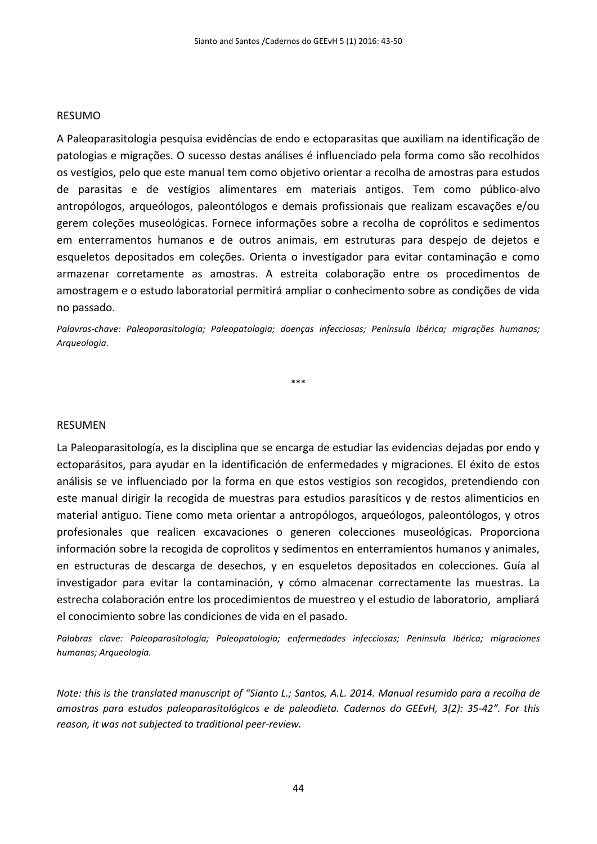#### RESUMO

A Paleoparasitologia pesquisa evidências de endo e ectoparasitas que auxiliam na identificação de patologias e migrações. O sucesso destas análises é influenciado pela forma como são recolhidos os vestígios, pelo que este manual tem como objetivo orientar a recolha de amostras para estudos de parasitas e de vestígios alimentares em materiais antigos. Tem como público-alvo antropólogos, arqueólogos, paleontólogos e demais profissionais que realizam escavações e/ou gerem coleções museológicas. Fornece informações sobre a recolha de coprólitos e sedimentos em enterramentos humanos e de outros animais, em estruturas para despejo de dejetos e esqueletos depositados em coleções. Orienta o investigador para evitar contaminação e como armazenar corretamente as amostras. A estreita colaboração entre os procedimentos de amostragem e o estudo laboratorial permitirá ampliar o conhecimento sobre as condições de vida no passado.

*Palavras-chave: Paleoparasitologia; Paleopatologia; doenças infecciosas; Península Ibérica; migrações humanas; Arqueologia.*

\*\*\*

#### RESUMEN

La Paleoparasitología, es la disciplina que se encarga de estudiar las evidencias dejadas por endo y ectoparásitos, para ayudar en la identificación de enfermedades y migraciones. El éxito de estos análisis se ve influenciado por la forma en que estos vestigios son recogidos, pretendiendo con este manual dirigir la recogida de muestras para estudios parasíticos y de restos alimenticios en material antiguo. Tiene como meta orientar a antropólogos, arqueólogos, paleontólogos, y otros profesionales que realicen excavaciones o generen colecciones museológicas. Proporciona información sobre la recogida de coprolitos y sedimentos en enterramientos humanos y animales, en estructuras de descarga de desechos, y en esqueletos depositados en colecciones. Guía al investigador para evitar la contaminación, y cómo almacenar correctamente las muestras. La estrecha colaboración entre los procedimientos de muestreo y el estudio de laboratorio, ampliará el conocimiento sobre las condiciones de vida en el pasado.

*Palabras clave: Paleoparasitología; Paleopatologia; enfermedades infecciosas; Península Ibérica; migraciones humanas; Arqueología.*

*Note: this is the translated manuscript of "Sianto L.; Santos, A.L. 2014. Manual resumido para a recolha de amostras para estudos paleoparasitológicos e de paleodieta. Cadernos do GEEvH, 3(2): 35-42". For this reason, it was not subjected to traditional peer-review.*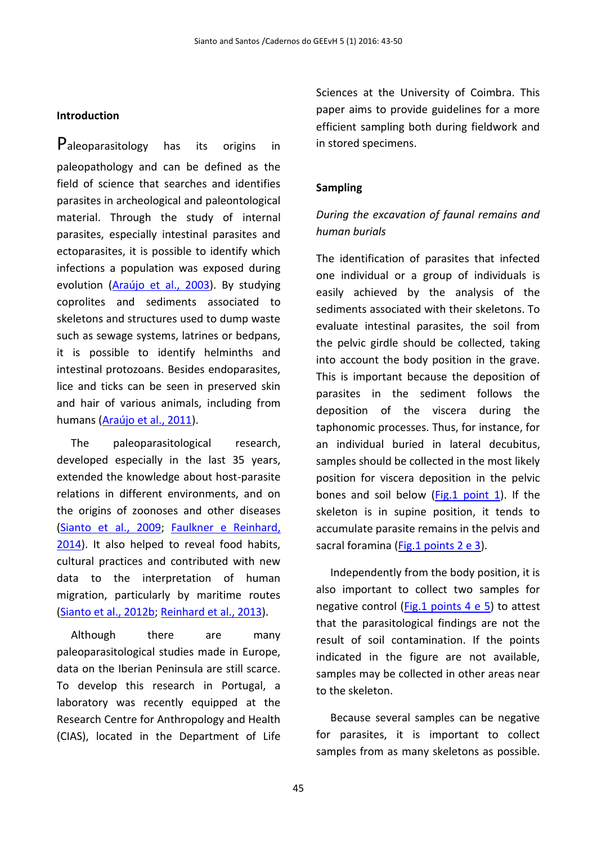#### **Introduction**

Paleoparasitology has its origins in paleopathology and can be defined as the field of science that searches and identifies parasites in archeological and paleontological material. Through the study of internal parasites, especially intestinal parasites and ectoparasites, it is possible to identify which infections a population was exposed during evolution [\(Araújo et al., 2003\)](#page-6-0). By studying coprolites and sediments associated to skeletons and structures used to dump waste such as sewage systems, latrines or bedpans, it is possible to identify helminths and intestinal protozoans. Besides endoparasites, lice and ticks can be seen in preserved skin and hair of various animals, including from humans [\(Araújo et al., 2011\)](#page-6-1).

The paleoparasitological research, developed especially in the last 35 years, extended the knowledge about host-parasite relations in different environments, and on the origins of zoonoses and other diseases [\(Sianto et al., 2009;](#page-6-2) [Faulkner e Reinhard,](#page-6-3)  [2014\)](#page-6-3). It also helped to reveal food habits, cultural practices and contributed with new data to the interpretation of human migration, particularly by maritime routes [\(Sianto et al., 2012b;](#page-7-0) [Reinhard et al., 2013\)](#page-6-4).

Although there are many paleoparasitological studies made in Europe, data on the Iberian Peninsula are still scarce. To develop this research in Portugal, a laboratory was recently equipped at the Research Centre for Anthropology and Health (CIAS), located in the Department of Life Sciences at the University of Coimbra. This paper aims to provide guidelines for a more efficient sampling both during fieldwork and in stored specimens.

## **Sampling**

# *During the excavation of faunal remains and human burials*

The identification of parasites that infected one individual or a group of individuals is easily achieved by the analysis of the sediments associated with their skeletons. To evaluate intestinal parasites, the soil from the pelvic girdle should be collected, taking into account the body position in the grave. This is important because the deposition of parasites in the sediment follows the deposition of the viscera during the taphonomic processes. Thus, for instance, for an individual buried in lateral decubitus, samples should be collected in the most likely position for viscera deposition in the pelvic bones and soil below [\(Fig.1 point 1\)](#page-4-0). If the skeleton is in supine position, it tends to accumulate parasite remains in the pelvis and sacral foramina [\(Fig.1 points 2 e 3\)](#page-4-0).

Independently from the body position, it is also important to collect two samples for negative control ( $Fig.1$  points 4 e 5) to attest that the parasitological findings are not the result of soil contamination. If the points indicated in the figure are not available, samples may be collected in other areas near to the skeleton.

Because several samples can be negative for parasites, it is important to collect samples from as many skeletons as possible.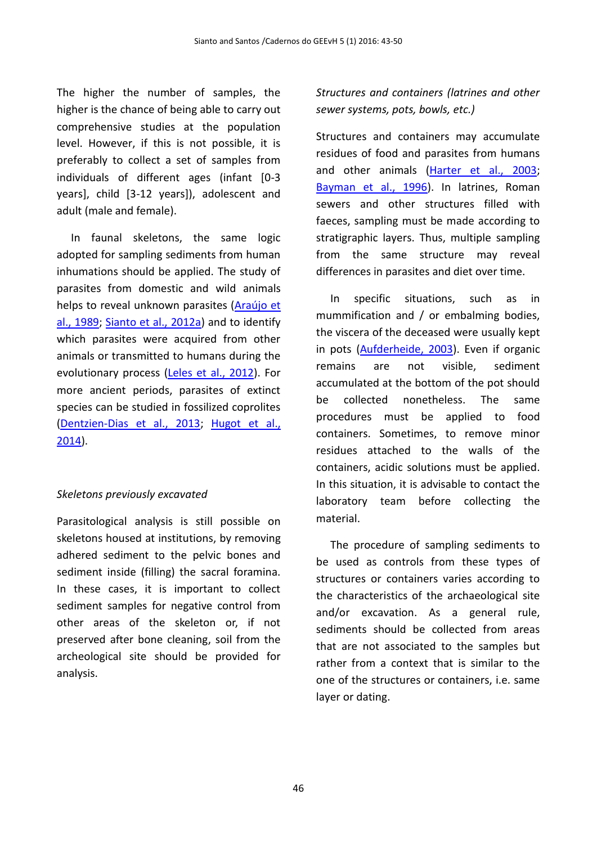The higher the number of samples, the higher is the chance of being able to carry out comprehensive studies at the population level. However, if this is not possible, it is preferably to collect a set of samples from individuals of different ages (infant [0-3 years], child [3-12 years]), adolescent and adult (male and female).

In faunal skeletons, the same logic adopted for sampling sediments from human inhumations should be applied. The study of parasites from domestic and wild animals helps to reveal unknown parasites [\(Araújo et](#page-6-5)  [al., 1989;](#page-6-5) [Sianto et al., 2012a\)](#page-7-1) and to identify which parasites were acquired from other animals or transmitted to humans during the evolutionary process [\(Leles et al., 2012\)](#page-6-6). For more ancient periods, parasites of extinct species can be studied in fossilized coprolites [\(Dentzien-Dias et al., 2013;](#page-6-7) [Hugot et al.,](#page-6-8)  [2014\)](#page-6-8).

# *Skeletons previously excavated*

Parasitological analysis is still possible on skeletons housed at institutions, by removing adhered sediment to the pelvic bones and sediment inside (filling) the sacral foramina. In these cases, it is important to collect sediment samples for negative control from other areas of the skeleton or, if not preserved after bone cleaning, soil from the archeological site should be provided for analysis.

*Structures and containers (latrines and other sewer systems, pots, bowls, etc.)*

Structures and containers may accumulate residues of food and parasites from humans and other animals [\(Harter et al., 2003;](#page-6-9) [Bayman et al., 1996\)](#page-6-10). In latrines, Roman sewers and other structures filled with faeces, sampling must be made according to stratigraphic layers. Thus, multiple sampling from the same structure may reveal differences in parasites and diet over time.

In specific situations, such as in mummification and / or embalming bodies, the viscera of the deceased were usually kept in pots [\(Aufderheide, 2003\)](#page-6-11). Even if organic remains are not visible, sediment accumulated at the bottom of the pot should be collected nonetheless. The same procedures must be applied to food containers. Sometimes, to remove minor residues attached to the walls of the containers, acidic solutions must be applied. In this situation, it is advisable to contact the laboratory team before collecting the material.

The procedure of sampling sediments to be used as controls from these types of structures or containers varies according to the characteristics of the archaeological site and/or excavation. As a general rule, sediments should be collected from areas that are not associated to the samples but rather from a context that is similar to the one of the structures or containers, i.e. same layer or dating.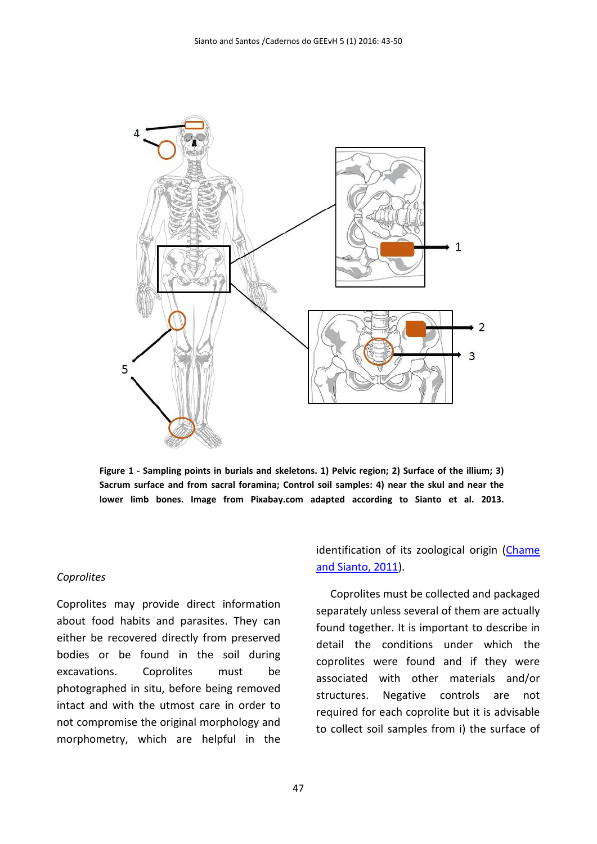

<span id="page-4-0"></span>**Figure 1 - Sampling points in burials and skeletons. 1) Pelvic region; 2) Surface of the illium; 3) Sacrum surface and from sacral foramina; Control soil samples: 4) near the skul and near the lower limb bones. Image from Pixabay.com adapted according to Sianto et al. 2013.**

#### *Coprolites*

Coprolites may provide direct information about food habits and parasites. They can either be recovered directly from preserved bodies or be found in the soil during excavations. Coprolites must be photographed in situ, before being removed intact and with the utmost care in order to not compromise the original morphology and morphometry, which are helpful in the

identification of its zoological origin (Chame [and Sianto, 2011\)](#page-6-12).

Coprolites must be collected and packaged separately unless several of them are actually found together. It is important to describe in detail the conditions under which the coprolites were found and if they were associated with other materials and/or structures. Negative controls are not required for each coprolite but it is advisable to collect soil samples from i) the surface of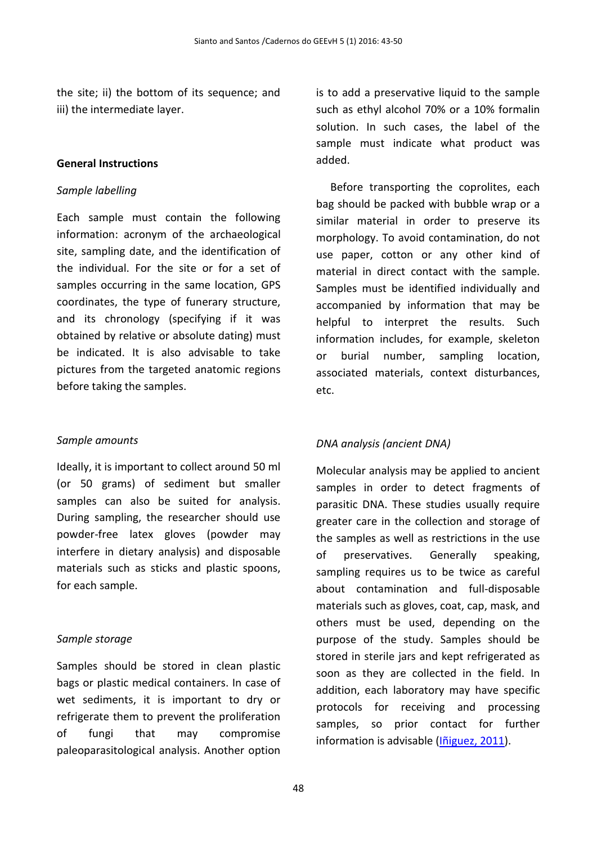the site; ii) the bottom of its sequence; and iii) the intermediate layer.

#### **General Instructions**

#### *Sample labelling*

Each sample must contain the following information: acronym of the archaeological site, sampling date, and the identification of the individual. For the site or for a set of samples occurring in the same location, GPS coordinates, the type of funerary structure, and its chronology (specifying if it was obtained by relative or absolute dating) must be indicated. It is also advisable to take pictures from the targeted anatomic regions before taking the samples.

## *Sample amounts*

Ideally, it is important to collect around 50 ml (or 50 grams) of sediment but smaller samples can also be suited for analysis. During sampling, the researcher should use powder-free latex gloves (powder may interfere in dietary analysis) and disposable materials such as sticks and plastic spoons, for each sample.

## *Sample storage*

Samples should be stored in clean plastic bags or plastic medical containers. In case of wet sediments, it is important to dry or refrigerate them to prevent the proliferation of fungi that may compromise paleoparasitological analysis. Another option

is to add a preservative liquid to the sample such as ethyl alcohol 70% or a 10% formalin solution. In such cases, the label of the sample must indicate what product was added.

Before transporting the coprolites, each bag should be packed with bubble wrap or a similar material in order to preserve its morphology. To avoid contamination, do not use paper, cotton or any other kind of material in direct contact with the sample. Samples must be identified individually and accompanied by information that may be helpful to interpret the results. Such information includes, for example, skeleton or burial number, sampling location, associated materials, context disturbances, etc.

# *DNA analysis (ancient DNA)*

Molecular analysis may be applied to ancient samples in order to detect fragments of parasitic DNA. These studies usually require greater care in the collection and storage of the samples as well as restrictions in the use of preservatives. Generally speaking, sampling requires us to be twice as careful about contamination and full-disposable materials such as gloves, coat, cap, mask, and others must be used, depending on the purpose of the study. Samples should be stored in sterile jars and kept refrigerated as soon as they are collected in the field. In addition, each laboratory may have specific protocols for receiving and processing samples, so prior contact for further information is advisable [\(Iñiguez, 2011\)](#page-6-13).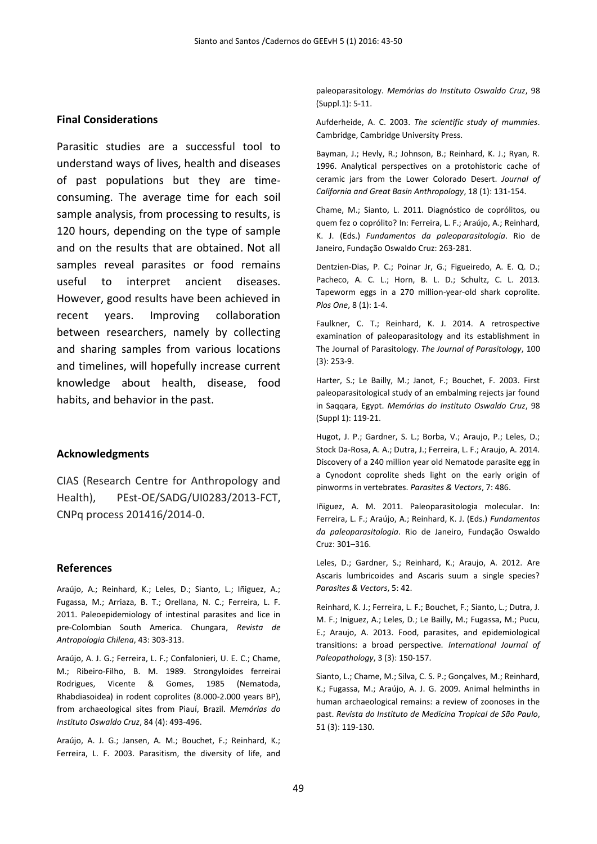#### **Final Considerations**

Parasitic studies are a successful tool to understand ways of lives, health and diseases of past populations but they are timeconsuming. The average time for each soil sample analysis, from processing to results, is 120 hours, depending on the type of sample and on the results that are obtained. Not all samples reveal parasites or food remains useful to interpret ancient diseases. However, good results have been achieved in recent years. Improving collaboration between researchers, namely by collecting and sharing samples from various locations and timelines, will hopefully increase current knowledge about health, disease, food habits, and behavior in the past.

#### **Acknowledgments**

CIAS (Research Centre for Anthropology and Health), PEst-OE/SADG/UI0283/2013-FCT, CNPq process 201416/2014-0.

#### **References**

<span id="page-6-1"></span>Araújo, A.; Reinhard, K.; Leles, D.; Sianto, L.; Iñiguez, A.; Fugassa, M.; Arriaza, B. T.; Orellana, N. C.; Ferreira, L. F. 2011. Paleoepidemiology of intestinal parasites and lice in pre-Colombian South America. Chungara, *Revista de Antropologia Chilena*, 43: 303-313.

<span id="page-6-5"></span>Araújo, A. J. G.; Ferreira, L. F.; Confalonieri, U. E. C.; Chame, M.; Ribeiro-Filho, B. M. 1989. Strongyloides ferreirai Rodrigues, Vicente & Gomes, 1985 (Nematoda, Rhabdiasoidea) in rodent coprolites (8.000-2.000 years BP), from archaeological sites from Piauí, Brazil. *Memórias do Instituto Oswaldo Cruz*, 84 (4): 493-496.

<span id="page-6-0"></span>Araújo, A. J. G.; Jansen, A. M.; Bouchet, F.; Reinhard, K.; Ferreira, L. F. 2003. Parasitism, the diversity of life, and

paleoparasitology. *Memórias do Instituto Oswaldo Cruz*, 98 (Suppl.1): 5-11.

<span id="page-6-11"></span>Aufderheide, A. C. 2003. *The scientific study of mummies*. Cambridge, Cambridge University Press.

<span id="page-6-10"></span>Bayman, J.; Hevly, R.; Johnson, B.; Reinhard, K. J.; Ryan, R. 1996. Analytical perspectives on a protohistoric cache of ceramic jars from the Lower Colorado Desert. *Journal of California and Great Basin Anthropology*, 18 (1): 131-154.

<span id="page-6-12"></span>Chame, M.; Sianto, L. 2011. Diagnóstico de coprólitos, ou quem fez o coprólito? In: Ferreira, L. F.; Araújo, A.; Reinhard, K. J. (Eds.) *Fundamentos da paleoparasitologia*. Rio de Janeiro, Fundação Oswaldo Cruz: 263-281.

<span id="page-6-7"></span>Dentzien-Dias, P. C.; Poinar Jr, G.; Figueiredo, A. E. Q. D.; Pacheco, A. C. L.; Horn, B. L. D.; Schultz, C. L. 2013. Tapeworm eggs in a 270 million-year-old shark coprolite. *Plos One*, 8 (1): 1-4.

<span id="page-6-3"></span>Faulkner, C. T.; Reinhard, K. J. 2014. A retrospective examination of paleoparasitology and its establishment in The Journal of Parasitology. *The Journal of Parasitology*, 100 (3): 253-9.

<span id="page-6-9"></span>Harter, S.; Le Bailly, M.; Janot, F.; Bouchet, F. 2003. First paleoparasitological study of an embalming rejects jar found in Saqqara, Egypt. *Memórias do Instituto Oswaldo Cruz*, 98 (Suppl 1): 119-21.

<span id="page-6-8"></span>Hugot, J. P.; Gardner, S. L.; Borba, V.; Araujo, P.; Leles, D.; Stock Da-Rosa, A. A.; Dutra, J.; Ferreira, L. F.; Araujo, A. 2014. Discovery of a 240 million year old Nematode parasite egg in a Cynodont coprolite sheds light on the early origin of pinworms in vertebrates. *Parasites & Vectors*, 7: 486.

<span id="page-6-13"></span>Iñiguez, A. M. 2011. Paleoparasitologia molecular. In: Ferreira, L. F.; Araújo, A.; Reinhard, K. J. (Eds.) *Fundamentos da paleoparasitologia*. Rio de Janeiro, Fundação Oswaldo Cruz: 301–316.

<span id="page-6-6"></span>Leles, D.; Gardner, S.; Reinhard, K.; Araujo, A. 2012. Are Ascaris lumbricoides and Ascaris suum a single species? *Parasites & Vectors*, 5: 42.

<span id="page-6-4"></span>Reinhard, K. J.; Ferreira, L. F.; Bouchet, F.; Sianto, L.; Dutra, J. M. F.; Iniguez, A.; Leles, D.; Le Bailly, M.; Fugassa, M.; Pucu, E.; Araujo, A. 2013. Food, parasites, and epidemiological transitions: a broad perspective. *International Journal of Paleopathology*, 3 (3): 150-157.

<span id="page-6-2"></span>Sianto, L.; Chame, M.; Silva, C. S. P.; Gonçalves, M.; Reinhard, K.; Fugassa, M.; Araújo, A. J. G. 2009. Animal helminths in human archaeological remains: a review of zoonoses in the past. *Revista do Instituto de Medicina Tropical de São Paulo*, 51 (3): 119-130.